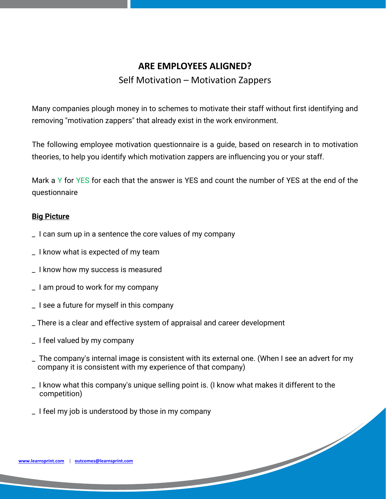# **ARE EMPLOYEES ALIGNED?**

## Self Motivation – Motivation Zappers

Many companies plough money in to schemes to motivate their staff without first identifying and removing "motivation zappers" that already exist in the work environment.

The following employee motivation questionnaire is a guide, based on research in to motivation theories, to help you identify which motivation zappers are influencing you or your staff.

Mark a Y for YES for each that the answer is YES and count the number of YES at the end of the questionnaire

#### **Big Picture**

- \_ I can sum up in a sentence the core values of my company
- \_ I know what is expected of my team
- \_ I know how my success is measured
- \_ I am proud to work for my company
- \_ I see a future for myself in this company
- \_ There is a clear and effective system of appraisal and career development
- \_ I feel valued by my company
- \_ The company's internal image is consistent with its external one. (When I see an advert for my company it is consistent with my experience of that company)

- \_ I know what this company's unique selling point is. (I know what makes it different to the competition)
- \_ I feel my job is understood by those in my company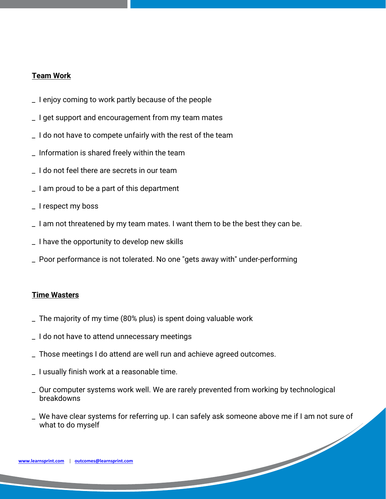#### **Team Work**

- \_ I enjoy coming to work partly because of the people
- \_ I get support and encouragement from my team mates
- \_ I do not have to compete unfairly with the rest of the team
- \_ Information is shared freely within the team
- \_ I do not feel there are secrets in our team
- \_ I am proud to be a part of this department
- \_ I respect my boss
- \_ I am not threatened by my team mates. I want them to be the best they can be.
- \_ I have the opportunity to develop new skills
- \_ Poor performance is not tolerated. No one "gets away with" under-performing

#### **Time Wasters**

- \_ The majority of my time (80% plus) is spent doing valuable work
- \_ I do not have to attend unnecessary meetings
- \_ Those meetings I do attend are well run and achieve agreed outcomes.
- \_ I usually finish work at a reasonable time.
- \_ Our computer systems work well. We are rarely prevented from working by technological breakdowns
- We have clear systems for referring up. I can safely ask someone above me if I am not sure of what to do myself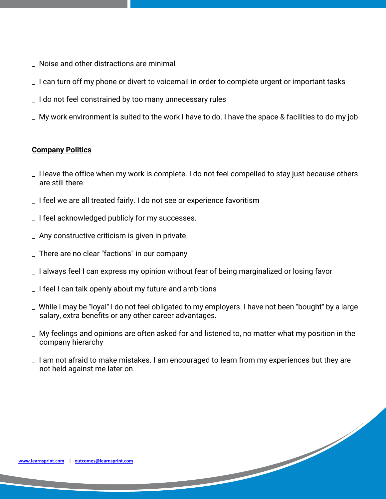- \_ Noise and other distractions are minimal
- \_ I can turn off my phone or divert to voicemail in order to complete urgent or important tasks
- \_ I do not feel constrained by too many unnecessary rules
- \_ My work environment is suited to the work I have to do. I have the space & facilities to do my job

## **Company Politics**

- \_ I leave the office when my work is complete. I do not feel compelled to stay just because others are still there
- \_ I feel we are all treated fairly. I do not see or experience favoritism
- \_ I feel acknowledged publicly for my successes.
- \_ Any constructive criticism is given in private
- \_ There are no clear "factions" in our company
- \_ I always feel I can express my opinion without fear of being marginalized or losing favor
- \_ I feel I can talk openly about my future and ambitions
- \_ While I may be "loyal" I do not feel obligated to my employers. I have not been "bought" by a large salary, extra benefits or any other career advantages.
- \_ My feelings and opinions are often asked for and listened to, no matter what my position in the company hierarchy
- \_ I am not afraid to make mistakes. I am encouraged to learn from my experiences but they are not held against me later on.